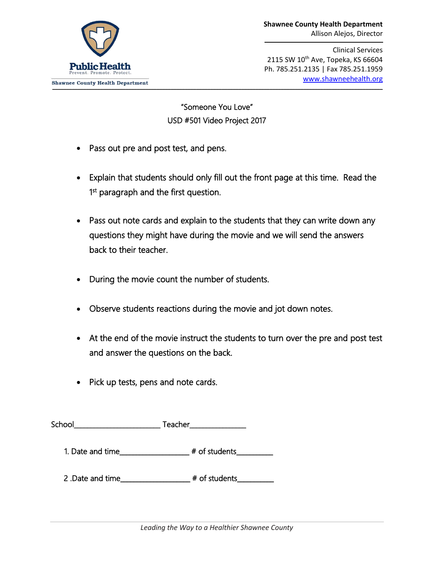Clinical Services 2115 SW 10<sup>th</sup> Ave, Topeka, KS 66604 Ph. 785.251.2135 | Fax 785.251.1959 [www.shawneehealth.org](http://www.shawneehealth.org/) [www.shawneehealth.org](http://www.shawneehealth.org/)

"Someone You Love" USD #501 Video Project 2017

- Pass out pre and post test, and pens.
- Explain that students should only fill out the front page at this time. Read the 1<sup>st</sup> paragraph and the first question.
- Pass out note cards and explain to the students that they can write down any questions they might have during the movie and we will send the answers back to their teacher.
- During the movie count the number of students.
- Observe students reactions during the movie and jot down notes.
- At the end of the movie instruct the students to turn over the pre and post test and answer the questions on the back.
- Pick up tests, pens and note cards.

| School | Teacher |  |
|--------|---------|--|
|        |         |  |

1. Date and time\_\_\_\_\_\_\_\_\_\_\_\_\_\_\_\_\_\_\_\_\_ # of students\_\_\_\_\_\_\_\_\_\_\_

2 .Date and time\_\_\_\_\_\_\_\_\_\_\_\_\_\_\_\_\_\_\_\_\_ # of students\_\_\_\_\_\_\_\_\_\_\_